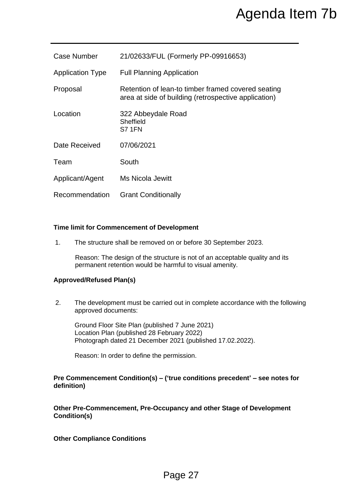|                         |                                                                                                                                                           | Agenda Item 7b                                                                                                                                |
|-------------------------|-----------------------------------------------------------------------------------------------------------------------------------------------------------|-----------------------------------------------------------------------------------------------------------------------------------------------|
| <b>Case Number</b>      |                                                                                                                                                           | 21/02633/FUL (Formerly PP-09916653)                                                                                                           |
| <b>Application Type</b> |                                                                                                                                                           | <b>Full Planning Application</b>                                                                                                              |
| Proposal                |                                                                                                                                                           | Retention of lean-to timber framed covered seating<br>area at side of building (retrospective application)                                    |
| Location                |                                                                                                                                                           | 322 Abbeydale Road<br>Sheffield<br>S71FN                                                                                                      |
| Date Received           |                                                                                                                                                           | 07/06/2021                                                                                                                                    |
| Team                    |                                                                                                                                                           | South                                                                                                                                         |
| Applicant/Agent         |                                                                                                                                                           | <b>Ms Nicola Jewitt</b>                                                                                                                       |
| Recommendation          |                                                                                                                                                           | <b>Grant Conditionally</b>                                                                                                                    |
| 1.                      |                                                                                                                                                           | The structure shall be removed on or before 30 September 2023.<br>Reason: The design of the structure is not of an acceptable quality and its |
|                         |                                                                                                                                                           | permanent retention would be harmful to visual amenity.                                                                                       |
|                         | <b>Approved/Refused Plan(s)</b>                                                                                                                           |                                                                                                                                               |
| 2.                      | The development must be carried out in complete accordance with the following<br>approved documents:                                                      |                                                                                                                                               |
|                         | Ground Floor Site Plan (published 7 June 2021)<br>Location Plan (published 28 February 2022)<br>Photograph dated 21 December 2021 (published 17.02.2022). |                                                                                                                                               |
|                         | Reason: In order to define the permission.                                                                                                                |                                                                                                                                               |
| definition)             |                                                                                                                                                           | Pre Commencement Condition(s) - ('true conditions precedent' - see notes for                                                                  |
|                         | Condition(s)                                                                                                                                              | Other Pre-Commencement, Pre-Occupancy and other Stage of Development                                                                          |
|                         | <b>Other Compliance Conditions</b>                                                                                                                        |                                                                                                                                               |
|                         |                                                                                                                                                           | Page 27                                                                                                                                       |

#### **Time limit for Commencement of Development**

#### **Approved/Refused Plan(s)**

#### **Pre Commencement Condition(s) – ('true conditions precedent' – see notes for definition)**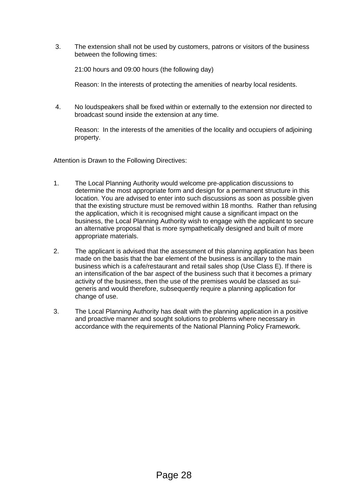3. The extension shall not be used by customers, patrons or visitors of the business between the following times:

21:00 hours and 09:00 hours (the following day)

Reason: In the interests of protecting the amenities of nearby local residents.

4. No loudspeakers shall be fixed within or externally to the extension nor directed to broadcast sound inside the extension at any time.

Reason: In the interests of the amenities of the locality and occupiers of adjoining property.

Attention is Drawn to the Following Directives:

- 1. The Local Planning Authority would welcome pre-application discussions to determine the most appropriate form and design for a permanent structure in this location. You are advised to enter into such discussions as soon as possible given that the existing structure must be removed within 18 months. Rather than refusing the application, which it is recognised might cause a significant impact on the business, the Local Planning Authority wish to engage with the applicant to secure an alternative proposal that is more sympathetically designed and built of more appropriate materials.
- 2. The applicant is advised that the assessment of this planning application has been made on the basis that the bar element of the business is ancillary to the main business which is a cafe/restaurant and retail sales shop (Use Class E). If there is an intensification of the bar aspect of the business such that it becomes a primary activity of the business, then the use of the premises would be classed as suigeneris and would therefore, subsequently require a planning application for change of use.
- 3. The Local Planning Authority has dealt with the planning application in a positive and proactive manner and sought solutions to problems where necessary in accordance with the requirements of the National Planning Policy Framework.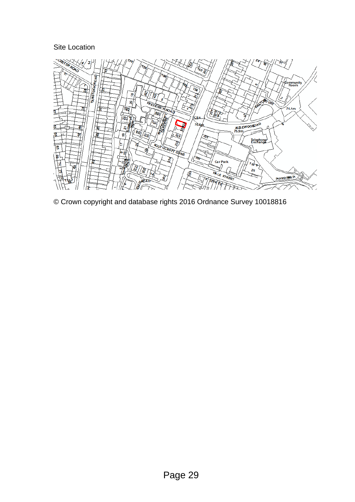## Site Location



© Crown copyright and database rights 2016 Ordnance Survey 10018816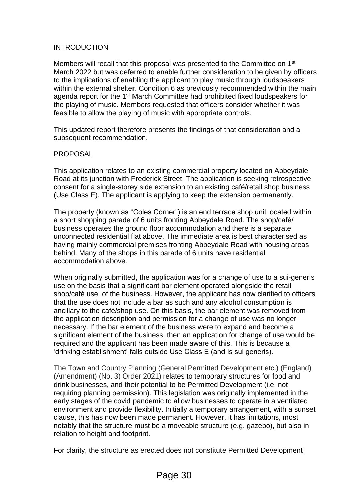# INTRODUCTION

Members will recall that this proposal was presented to the Committee on 1<sup>st</sup> March 2022 but was deferred to enable further consideration to be given by officers to the implications of enabling the applicant to play music through loudspeakers within the external shelter. Condition 6 as previously recommended within the main agenda report for the 1<sup>st</sup> March Committee had prohibited fixed loudspeakers for the playing of music. Members requested that officers consider whether it was feasible to allow the playing of music with appropriate controls.

This updated report therefore presents the findings of that consideration and a subsequent recommendation.

## PROPOSAL

This application relates to an existing commercial property located on Abbeydale Road at its junction with Frederick Street. The application is seeking retrospective consent for a single-storey side extension to an existing café/retail shop business (Use Class E). The applicant is applying to keep the extension permanently.

The property (known as "Coles Corner") is an end terrace shop unit located within a short shopping parade of 6 units fronting Abbeydale Road. The shop/café/ business operates the ground floor accommodation and there is a separate unconnected residential flat above. The immediate area is best characterised as having mainly commercial premises fronting Abbeydale Road with housing areas behind. Many of the shops in this parade of 6 units have residential accommodation above.

When originally submitted, the application was for a change of use to a sui-generis use on the basis that a significant bar element operated alongside the retail shop/café use. of the business. However, the applicant has now clarified to officers that the use does not include a bar as such and any alcohol consumption is ancillary to the café/shop use. On this basis, the bar element was removed from the application description and permission for a change of use was no longer necessary. If the bar element of the business were to expand and become a significant element of the business, then an application for change of use would be required and the applicant has been made aware of this. This is because a 'drinking establishment' falls outside Use Class E (and is sui generis).

The Town and Country Planning (General Permitted Development etc.) (England) (Amendment) (No. 3) Order 2021) relates to temporary structures for food and drink businesses, and their potential to be Permitted Development (i.e. not requiring planning permission). This legislation was originally implemented in the early stages of the covid pandemic to allow businesses to operate in a ventilated environment and provide flexibility. Initially a temporary arrangement, with a sunset clause, this has now been made permanent. However, it has limitations, most notably that the structure must be a moveable structure (e.g. gazebo), but also in relation to height and footprint.

For clarity, the structure as erected does not constitute Permitted Development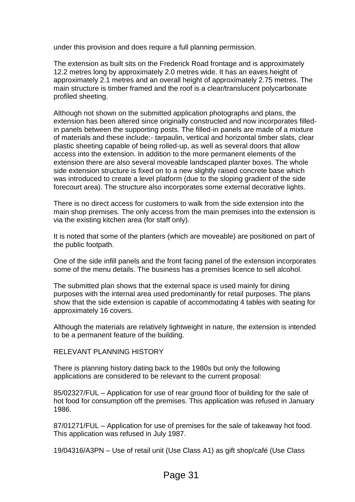under this provision and does require a full planning permission.

The extension as built sits on the Frederick Road frontage and is approximately 12.2 metres long by approximately 2.0 metres wide. It has an eaves height of approximately 2.1 metres and an overall height of approximately 2.75 metres. The main structure is timber framed and the roof is a clear/translucent polycarbonate profiled sheeting.

Although not shown on the submitted application photographs and plans, the extension has been altered since originally constructed and now incorporates filledin panels between the supporting posts. The filled-in panels are made of a mixture of materials and these include:- tarpaulin, vertical and horizontal timber slats, clear plastic sheeting capable of being rolled-up, as well as several doors that allow access into the extension. In addition to the more permanent elements of the extension there are also several moveable landscaped planter boxes. The whole side extension structure is fixed on to a new slightly raised concrete base which was introduced to create a level platform (due to the sloping gradient of the side forecourt area). The structure also incorporates some external decorative lights.

There is no direct access for customers to walk from the side extension into the main shop premises. The only access from the main premises into the extension is via the existing kitchen area (for staff only).

It is noted that some of the planters (which are moveable) are positioned on part of the public footpath.

One of the side infill panels and the front facing panel of the extension incorporates some of the menu details. The business has a premises licence to sell alcohol.

The submitted plan shows that the external space is used mainly for dining purposes with the internal area used predominantly for retail purposes. The plans show that the side extension is capable of accommodating 4 tables with seating for approximately 16 covers.

Although the materials are relatively lightweight in nature, the extension is intended to be a permanent feature of the building.

# RELEVANT PLANNING HISTORY

There is planning history dating back to the 1980s but only the following applications are considered to be relevant to the current proposal:

85/02327/FUL – Application for use of rear ground floor of building for the sale of hot food for consumption off the premises. This application was refused in January 1986.

87/01271/FUL – Application for use of premises for the sale of takeaway hot food. This application was refused in July 1987.

19/04316/A3PN – Use of retail unit (Use Class A1) as gift shop/café (Use Class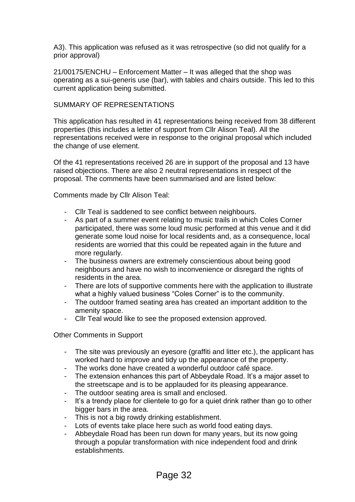A3). This application was refused as it was retrospective (so did not qualify for a prior approval)

21/00175/ENCHU – Enforcement Matter – It was alleged that the shop was operating as a sui-generis use (bar), with tables and chairs outside. This led to this current application being submitted.

## SUMMARY OF REPRESENTATIONS

This application has resulted in 41 representations being received from 38 different properties (this includes a letter of support from Cllr Alison Teal). All the representations received were in response to the original proposal which included the change of use element.

Of the 41 representations received 26 are in support of the proposal and 13 have raised objections. There are also 2 neutral representations in respect of the proposal. The comments have been summarised and are listed below:

Comments made by Cllr Alison Teal:

- Cllr Teal is saddened to see conflict between neighbours.
- As part of a summer event relating to music trails in which Coles Corner participated, there was some loud music performed at this venue and it did generate some loud noise for local residents and, as a consequence, local residents are worried that this could be repeated again in the future and more regularly.
- The business owners are extremely conscientious about being good neighbours and have no wish to inconvenience or disregard the rights of residents in the area.
- There are lots of supportive comments here with the application to illustrate what a highly valued business "Coles Corner" is to the community.
- The outdoor framed seating area has created an important addition to the amenity space.
- Cllr Teal would like to see the proposed extension approved.

Other Comments in Support

- The site was previously an eyesore (graffiti and litter etc.), the applicant has worked hard to improve and tidy up the appearance of the property.
- The works done have created a wonderful outdoor café space.
- The extension enhances this part of Abbeydale Road. It's a major asset to the streetscape and is to be applauded for its pleasing appearance.
- The outdoor seating area is small and enclosed.
- It's a trendy place for clientele to go for a quiet drink rather than go to other bigger bars in the area.
- This is not a big rowdy drinking establishment.
- Lots of events take place here such as world food eating days.
- Abbeydale Road has been run down for many years, but its now going through a popular transformation with nice independent food and drink establishments.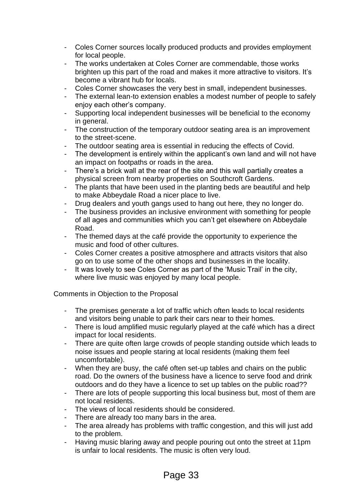- Coles Corner sources locally produced products and provides employment for local people.
- The works undertaken at Coles Corner are commendable, those works brighten up this part of the road and makes it more attractive to visitors. It's become a vibrant hub for locals.
- Coles Corner showcases the very best in small, independent businesses.
- The external lean-to extension enables a modest number of people to safely enjoy each other's company.
- Supporting local independent businesses will be beneficial to the economy in general.
- The construction of the temporary outdoor seating area is an improvement to the street-scene.
- The outdoor seating area is essential in reducing the effects of Covid.
- The development is entirely within the applicant's own land and will not have an impact on footpaths or roads in the area.
- There's a brick wall at the rear of the site and this wall partially creates a physical screen from nearby properties on Southcroft Gardens.
- The plants that have been used in the planting beds are beautiful and help to make Abbeydale Road a nicer place to live.
- Drug dealers and youth gangs used to hang out here, they no longer do.
- The business provides an inclusive environment with something for people of all ages and communities which you can't get elsewhere on Abbeydale Road.
- The themed days at the café provide the opportunity to experience the music and food of other cultures.
- Coles Corner creates a positive atmosphere and attracts visitors that also go on to use some of the other shops and businesses in the locality.
- It was lovely to see Coles Corner as part of the 'Music Trail' in the city, where live music was enjoyed by many local people.

Comments in Objection to the Proposal

- The premises generate a lot of traffic which often leads to local residents and visitors being unable to park their cars near to their homes.
- There is loud amplified music regularly played at the café which has a direct impact for local residents.
- There are quite often large crowds of people standing outside which leads to noise issues and people staring at local residents (making them feel uncomfortable).
- When they are busy, the café often set-up tables and chairs on the public road. Do the owners of the business have a licence to serve food and drink outdoors and do they have a licence to set up tables on the public road??
- There are lots of people supporting this local business but, most of them are not local residents.
- The views of local residents should be considered.
- There are already too many bars in the area.
- The area already has problems with traffic congestion, and this will just add to the problem.
- Having music blaring away and people pouring out onto the street at 11pm is unfair to local residents. The music is often very loud.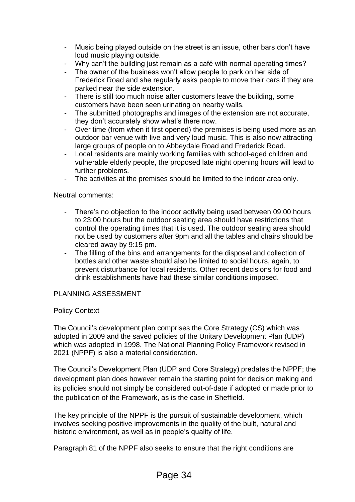- Music being played outside on the street is an issue, other bars don't have loud music playing outside.
- Why can't the building just remain as a café with normal operating times?
- The owner of the business won't allow people to park on her side of Frederick Road and she regularly asks people to move their cars if they are parked near the side extension.
- There is still too much noise after customers leave the building, some customers have been seen urinating on nearby walls.
- The submitted photographs and images of the extension are not accurate, they don't accurately show what's there now.
- Over time (from when it first opened) the premises is being used more as an outdoor bar venue with live and very loud music. This is also now attracting large groups of people on to Abbeydale Road and Frederick Road.
- Local residents are mainly working families with school-aged children and vulnerable elderly people, the proposed late night opening hours will lead to further problems.
- The activities at the premises should be limited to the indoor area only.

## Neutral comments:

- There's no objection to the indoor activity being used between 09:00 hours to 23:00 hours but the outdoor seating area should have restrictions that control the operating times that it is used. The outdoor seating area should not be used by customers after 9pm and all the tables and chairs should be cleared away by 9:15 pm.
- The filling of the bins and arrangements for the disposal and collection of bottles and other waste should also be limited to social hours, again, to prevent disturbance for local residents. Other recent decisions for food and drink establishments have had these similar conditions imposed.

### PLANNING ASSESSMENT

### Policy Context

The Council's development plan comprises the Core Strategy (CS) which was adopted in 2009 and the saved policies of the Unitary Development Plan (UDP) which was adopted in 1998. The National Planning Policy Framework revised in 2021 (NPPF) is also a material consideration.

The Council's Development Plan (UDP and Core Strategy) predates the NPPF; the development plan does however remain the starting point for decision making and its policies should not simply be considered out-of-date if adopted or made prior to the publication of the Framework, as is the case in Sheffield.

The key principle of the NPPF is the pursuit of sustainable development, which involves seeking positive improvements in the quality of the built, natural and historic environment, as well as in people's quality of life.

Paragraph 81 of the NPPF also seeks to ensure that the right conditions are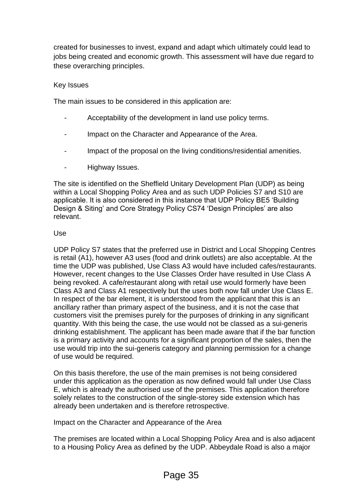created for businesses to invest, expand and adapt which ultimately could lead to jobs being created and economic growth. This assessment will have due regard to these overarching principles.

## Key Issues

The main issues to be considered in this application are:

- Acceptability of the development in land use policy terms.
- Impact on the Character and Appearance of the Area.
- Impact of the proposal on the living conditions/residential amenities.
- Highway Issues.

The site is identified on the Sheffield Unitary Development Plan (UDP) as being within a Local Shopping Policy Area and as such UDP Policies S7 and S10 are applicable. It is also considered in this instance that UDP Policy BE5 'Building Design & Siting' and Core Strategy Policy CS74 'Design Principles' are also relevant.

# Use

UDP Policy S7 states that the preferred use in District and Local Shopping Centres is retail (A1), however A3 uses (food and drink outlets) are also acceptable. At the time the UDP was published, Use Class A3 would have included cafes/restaurants. However, recent changes to the Use Classes Order have resulted in Use Class A being revoked. A cafe/restaurant along with retail use would formerly have been Class A3 and Class A1 respectively but the uses both now fall under Use Class E. In respect of the bar element, it is understood from the applicant that this is an ancillary rather than primary aspect of the business, and it is not the case that customers visit the premises purely for the purposes of drinking in any significant quantity. With this being the case, the use would not be classed as a sui-generis drinking establishment. The applicant has been made aware that if the bar function is a primary activity and accounts for a significant proportion of the sales, then the use would trip into the sui-generis category and planning permission for a change of use would be required.

On this basis therefore, the use of the main premises is not being considered under this application as the operation as now defined would fall under Use Class E, which is already the authorised use of the premises. This application therefore solely relates to the construction of the single-storey side extension which has already been undertaken and is therefore retrospective.

Impact on the Character and Appearance of the Area

The premises are located within a Local Shopping Policy Area and is also adjacent to a Housing Policy Area as defined by the UDP. Abbeydale Road is also a major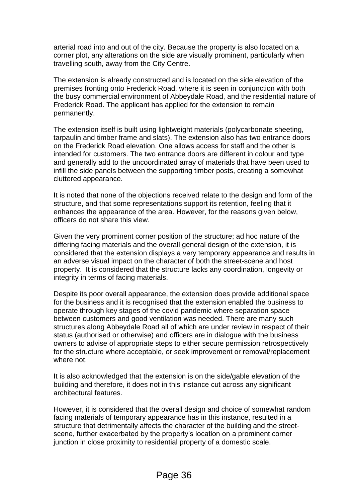arterial road into and out of the city. Because the property is also located on a corner plot, any alterations on the side are visually prominent, particularly when travelling south, away from the City Centre.

The extension is already constructed and is located on the side elevation of the premises fronting onto Frederick Road, where it is seen in conjunction with both the busy commercial environment of Abbeydale Road, and the residential nature of Frederick Road. The applicant has applied for the extension to remain permanently.

The extension itself is built using lightweight materials (polycarbonate sheeting, tarpaulin and timber frame and slats). The extension also has two entrance doors on the Frederick Road elevation. One allows access for staff and the other is intended for customers. The two entrance doors are different in colour and type and generally add to the uncoordinated array of materials that have been used to infill the side panels between the supporting timber posts, creating a somewhat cluttered appearance.

It is noted that none of the objections received relate to the design and form of the structure, and that some representations support its retention, feeling that it enhances the appearance of the area. However, for the reasons given below, officers do not share this view.

Given the very prominent corner position of the structure; ad hoc nature of the differing facing materials and the overall general design of the extension, it is considered that the extension displays a very temporary appearance and results in an adverse visual impact on the character of both the street-scene and host property. It is considered that the structure lacks any coordination, longevity or integrity in terms of facing materials.

Despite its poor overall appearance, the extension does provide additional space for the business and it is recognised that the extension enabled the business to operate through key stages of the covid pandemic where separation space between customers and good ventilation was needed. There are many such structures along Abbeydale Road all of which are under review in respect of their status (authorised or otherwise) and officers are in dialogue with the business owners to advise of appropriate steps to either secure permission retrospectively for the structure where acceptable, or seek improvement or removal/replacement where not.

It is also acknowledged that the extension is on the side/gable elevation of the building and therefore, it does not in this instance cut across any significant architectural features.

However, it is considered that the overall design and choice of somewhat random facing materials of temporary appearance has in this instance, resulted in a structure that detrimentally affects the character of the building and the streetscene, further exacerbated by the property's location on a prominent corner junction in close proximity to residential property of a domestic scale.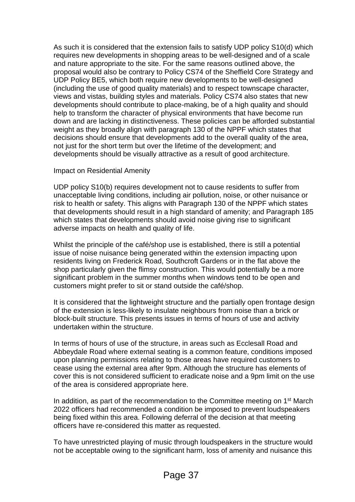As such it is considered that the extension fails to satisfy UDP policy S10(d) which requires new developments in shopping areas to be well-designed and of a scale and nature appropriate to the site. For the same reasons outlined above, the proposal would also be contrary to Policy CS74 of the Sheffield Core Strategy and UDP Policy BE5, which both require new developments to be well-designed (including the use of good quality materials) and to respect townscape character, views and vistas, building styles and materials. Policy CS74 also states that new developments should contribute to place-making, be of a high quality and should help to transform the character of physical environments that have become run down and are lacking in distinctiveness. These policies can be afforded substantial weight as they broadly align with paragraph 130 of the NPPF which states that decisions should ensure that developments add to the overall quality of the area, not just for the short term but over the lifetime of the development; and developments should be visually attractive as a result of good architecture.

### Impact on Residential Amenity

UDP policy S10(b) requires development not to cause residents to suffer from unacceptable living conditions, including air pollution, noise, or other nuisance or risk to health or safety. This aligns with Paragraph 130 of the NPPF which states that developments should result in a high standard of amenity; and Paragraph 185 which states that developments should avoid noise giving rise to significant adverse impacts on health and quality of life.

Whilst the principle of the café/shop use is established, there is still a potential issue of noise nuisance being generated within the extension impacting upon residents living on Frederick Road, Southcroft Gardens or in the flat above the shop particularly given the flimsy construction. This would potentially be a more significant problem in the summer months when windows tend to be open and customers might prefer to sit or stand outside the café/shop.

It is considered that the lightweight structure and the partially open frontage design of the extension is less-likely to insulate neighbours from noise than a brick or block-built structure. This presents issues in terms of hours of use and activity undertaken within the structure.

In terms of hours of use of the structure, in areas such as Ecclesall Road and Abbeydale Road where external seating is a common feature, conditions imposed upon planning permissions relating to those areas have required customers to cease using the external area after 9pm. Although the structure has elements of cover this is not considered sufficient to eradicate noise and a 9pm limit on the use of the area is considered appropriate here.

In addition, as part of the recommendation to the Committee meeting on 1<sup>st</sup> March 2022 officers had recommended a condition be imposed to prevent loudspeakers being fixed within this area. Following deferral of the decision at that meeting officers have re-considered this matter as requested.

To have unrestricted playing of music through loudspeakers in the structure would not be acceptable owing to the significant harm, loss of amenity and nuisance this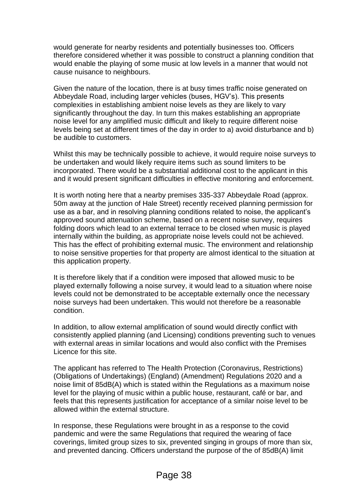would generate for nearby residents and potentially businesses too. Officers therefore considered whether it was possible to construct a planning condition that would enable the playing of some music at low levels in a manner that would not cause nuisance to neighbours.

Given the nature of the location, there is at busy times traffic noise generated on Abbeydale Road, including larger vehicles (buses, HGV's). This presents complexities in establishing ambient noise levels as they are likely to vary significantly throughout the day. In turn this makes establishing an appropriate noise level for any amplified music difficult and likely to require different noise levels being set at different times of the day in order to a) avoid disturbance and b) be audible to customers.

Whilst this may be technically possible to achieve, it would require noise surveys to be undertaken and would likely require items such as sound limiters to be incorporated. There would be a substantial additional cost to the applicant in this and it would present significant difficulties in effective monitoring and enforcement.

It is worth noting here that a nearby premises 335-337 Abbeydale Road (approx. 50m away at the junction of Hale Street) recently received planning permission for use as a bar, and in resolving planning conditions related to noise, the applicant's approved sound attenuation scheme, based on a recent noise survey, requires folding doors which lead to an external terrace to be closed when music is played internally within the building, as appropriate noise levels could not be achieved. This has the effect of prohibiting external music. The environment and relationship to noise sensitive properties for that property are almost identical to the situation at this application property.

It is therefore likely that if a condition were imposed that allowed music to be played externally following a noise survey, it would lead to a situation where noise levels could not be demonstrated to be acceptable externally once the necessary noise surveys had been undertaken. This would not therefore be a reasonable condition.

In addition, to allow external amplification of sound would directly conflict with consistently applied planning (and Licensing) conditions preventing such to venues with external areas in similar locations and would also conflict with the Premises Licence for this site.

The applicant has referred to The Health Protection (Coronavirus, Restrictions) (Obligations of Undertakings) (England) (Amendment) Regulations 2020 and a noise limit of 85dB(A) which is stated within the Regulations as a maximum noise level for the playing of music within a public house, restaurant, café or bar, and feels that this represents justification for acceptance of a similar noise level to be allowed within the external structure.

In response, these Regulations were brought in as a response to the covid pandemic and were the same Regulations that required the wearing of face coverings, limited group sizes to six, prevented singing in groups of more than six, and prevented dancing. Officers understand the purpose of the of 85dB(A) limit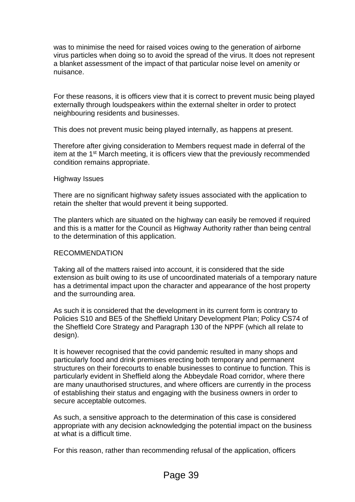was to minimise the need for raised voices owing to the generation of airborne virus particles when doing so to avoid the spread of the virus. It does not represent a blanket assessment of the impact of that particular noise level on amenity or nuisance.

For these reasons, it is officers view that it is correct to prevent music being played externally through loudspeakers within the external shelter in order to protect neighbouring residents and businesses.

This does not prevent music being played internally, as happens at present.

Therefore after giving consideration to Members request made in deferral of the item at the 1st March meeting, it is officers view that the previously recommended condition remains appropriate.

#### Highway Issues

There are no significant highway safety issues associated with the application to retain the shelter that would prevent it being supported.

The planters which are situated on the highway can easily be removed if required and this is a matter for the Council as Highway Authority rather than being central to the determination of this application.

#### RECOMMENDATION

Taking all of the matters raised into account, it is considered that the side extension as built owing to its use of uncoordinated materials of a temporary nature has a detrimental impact upon the character and appearance of the host property and the surrounding area.

As such it is considered that the development in its current form is contrary to Policies S10 and BE5 of the Sheffield Unitary Development Plan; Policy CS74 of the Sheffield Core Strategy and Paragraph 130 of the NPPF (which all relate to design).

It is however recognised that the covid pandemic resulted in many shops and particularly food and drink premises erecting both temporary and permanent structures on their forecourts to enable businesses to continue to function. This is particularly evident in Sheffield along the Abbeydale Road corridor, where there are many unauthorised structures, and where officers are currently in the process of establishing their status and engaging with the business owners in order to secure acceptable outcomes.

As such, a sensitive approach to the determination of this case is considered appropriate with any decision acknowledging the potential impact on the business at what is a difficult time.

For this reason, rather than recommending refusal of the application, officers